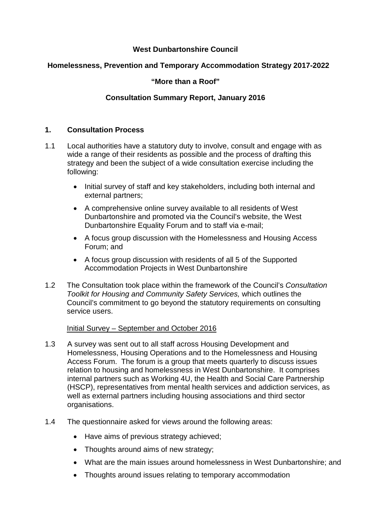# **West Dunbartonshire Council**

## **Homelessness, Prevention and Temporary Accommodation Strategy 2017-2022**

## **"More than a Roof"**

## **Consultation Summary Report, January 2016**

## **1. Consultation Process**

- 1.1 Local authorities have a statutory duty to involve, consult and engage with as wide a range of their residents as possible and the process of drafting this strategy and been the subject of a wide consultation exercise including the following:
	- Initial survey of staff and key stakeholders, including both internal and external partners;
	- A comprehensive online survey available to all residents of West Dunbartonshire and promoted via the Council's website, the West Dunbartonshire Equality Forum and to staff via e-mail;
	- A focus group discussion with the Homelessness and Housing Access Forum; and
	- A focus group discussion with residents of all 5 of the Supported Accommodation Projects in West Dunbartonshire
- 1.2 The Consultation took place within the framework of the Council's *Consultation Toolkit for Housing and Community Safety Services,* which outlines the Council's commitment to go beyond the statutory requirements on consulting service users.

## Initial Survey – September and October 2016

- 1.3 A survey was sent out to all staff across Housing Development and Homelessness, Housing Operations and to the Homelessness and Housing Access Forum. The forum is a group that meets quarterly to discuss issues relation to housing and homelessness in West Dunbartonshire. It comprises internal partners such as Working 4U, the Health and Social Care Partnership (HSCP), representatives from mental health services and addiction services, as well as external partners including housing associations and third sector organisations.
- 1.4 The questionnaire asked for views around the following areas:
	- Have aims of previous strategy achieved;
	- Thoughts around aims of new strategy;
	- What are the main issues around homelessness in West Dunbartonshire; and
	- Thoughts around issues relating to temporary accommodation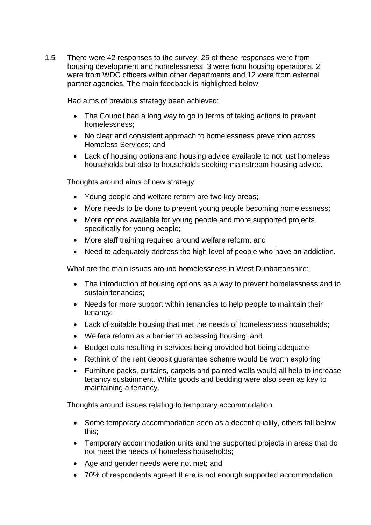1.5 There were 42 responses to the survey, 25 of these responses were from housing development and homelessness, 3 were from housing operations, 2 were from WDC officers within other departments and 12 were from external partner agencies. The main feedback is highlighted below:

Had aims of previous strategy been achieved:

- The Council had a long way to go in terms of taking actions to prevent homelessness;
- No clear and consistent approach to homelessness prevention across Homeless Services; and
- Lack of housing options and housing advice available to not just homeless households but also to households seeking mainstream housing advice.

Thoughts around aims of new strategy:

- Young people and welfare reform are two key areas;
- More needs to be done to prevent young people becoming homelessness;
- More options available for young people and more supported projects specifically for young people;
- More staff training required around welfare reform; and
- Need to adequately address the high level of people who have an addiction.

What are the main issues around homelessness in West Dunbartonshire:

- The introduction of housing options as a way to prevent homelessness and to sustain tenancies;
- Needs for more support within tenancies to help people to maintain their tenancy;
- Lack of suitable housing that met the needs of homelessness households;
- Welfare reform as a barrier to accessing housing; and
- Budget cuts resulting in services being provided bot being adequate
- Rethink of the rent deposit quarantee scheme would be worth exploring
- Furniture packs, curtains, carpets and painted walls would all help to increase tenancy sustainment. White goods and bedding were also seen as key to maintaining a tenancy.

Thoughts around issues relating to temporary accommodation:

- Some temporary accommodation seen as a decent quality, others fall below this;
- Temporary accommodation units and the supported projects in areas that do not meet the needs of homeless households;
- Age and gender needs were not met; and
- 70% of respondents agreed there is not enough supported accommodation.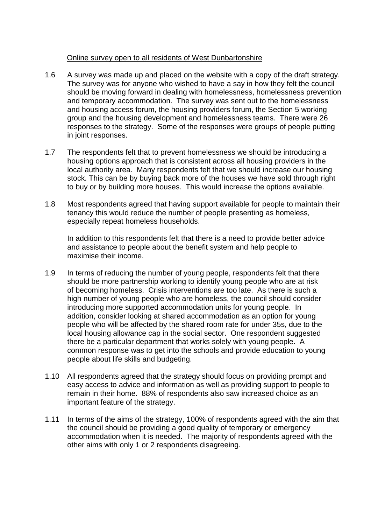## Online survey open to all residents of West Dunbartonshire

- 1.6 A survey was made up and placed on the website with a copy of the draft strategy. The survey was for anyone who wished to have a say in how they felt the council should be moving forward in dealing with homelessness, homelessness prevention and temporary accommodation. The survey was sent out to the homelessness and housing access forum, the housing providers forum, the Section 5 working group and the housing development and homelessness teams. There were 26 responses to the strategy. Some of the responses were groups of people putting in joint responses.
- 1.7 The respondents felt that to prevent homelessness we should be introducing a housing options approach that is consistent across all housing providers in the local authority area. Many respondents felt that we should increase our housing stock. This can be by buying back more of the houses we have sold through right to buy or by building more houses. This would increase the options available.
- 1.8 Most respondents agreed that having support available for people to maintain their tenancy this would reduce the number of people presenting as homeless, especially repeat homeless households.

In addition to this respondents felt that there is a need to provide better advice and assistance to people about the benefit system and help people to maximise their income.

- 1.9 In terms of reducing the number of young people, respondents felt that there should be more partnership working to identify young people who are at risk of becoming homeless. Crisis interventions are too late. As there is such a high number of young people who are homeless, the council should consider introducing more supported accommodation units for young people. In addition, consider looking at shared accommodation as an option for young people who will be affected by the shared room rate for under 35s, due to the local housing allowance cap in the social sector. One respondent suggested there be a particular department that works solely with young people. A common response was to get into the schools and provide education to young people about life skills and budgeting.
- 1.10 All respondents agreed that the strategy should focus on providing prompt and easy access to advice and information as well as providing support to people to remain in their home. 88% of respondents also saw increased choice as an important feature of the strategy.
- 1.11 In terms of the aims of the strategy, 100% of respondents agreed with the aim that the council should be providing a good quality of temporary or emergency accommodation when it is needed. The majority of respondents agreed with the other aims with only 1 or 2 respondents disagreeing.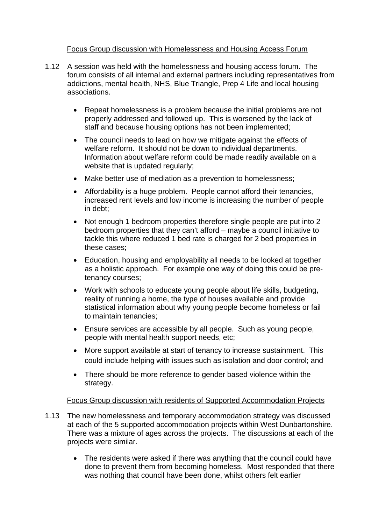## Focus Group discussion with Homelessness and Housing Access Forum

- 1.12 A session was held with the homelessness and housing access forum. The forum consists of all internal and external partners including representatives from addictions, mental health, NHS, Blue Triangle, Prep 4 Life and local housing associations.
	- Repeat homelessness is a problem because the initial problems are not properly addressed and followed up. This is worsened by the lack of staff and because housing options has not been implemented;
	- The council needs to lead on how we mitigate against the effects of welfare reform. It should not be down to individual departments. Information about welfare reform could be made readily available on a website that is updated regularly;
	- Make better use of mediation as a prevention to homelessness;
	- Affordability is a huge problem. People cannot afford their tenancies, increased rent levels and low income is increasing the number of people in debt;
	- Not enough 1 bedroom properties therefore single people are put into 2 bedroom properties that they can't afford – maybe a council initiative to tackle this where reduced 1 bed rate is charged for 2 bed properties in these cases;
	- Education, housing and employability all needs to be looked at together as a holistic approach. For example one way of doing this could be pretenancy courses;
	- Work with schools to educate young people about life skills, budgeting, reality of running a home, the type of houses available and provide statistical information about why young people become homeless or fail to maintain tenancies;
	- Ensure services are accessible by all people. Such as young people, people with mental health support needs, etc;
	- More support available at start of tenancy to increase sustainment. This could include helping with issues such as isolation and door control; and
	- There should be more reference to gender based violence within the strategy.

## Focus Group discussion with residents of Supported Accommodation Projects

- 1.13 The new homelessness and temporary accommodation strategy was discussed at each of the 5 supported accommodation projects within West Dunbartonshire. There was a mixture of ages across the projects. The discussions at each of the projects were similar.
	- The residents were asked if there was anything that the council could have done to prevent them from becoming homeless. Most responded that there was nothing that council have been done, whilst others felt earlier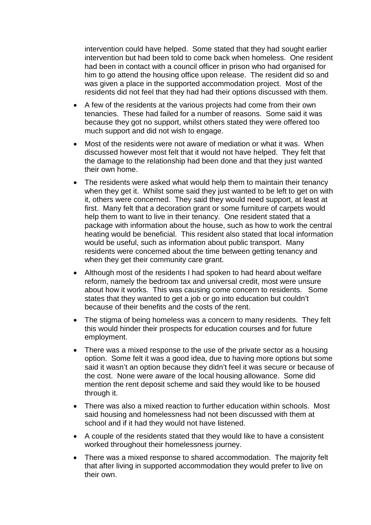intervention could have helped. Some stated that they had sought earlier intervention but had been told to come back when homeless. One resident had been in contact with a council officer in prison who had organised for him to go attend the housing office upon release. The resident did so and was given a place in the supported accommodation project. Most of the residents did not feel that they had had their options discussed with them.

- A few of the residents at the various projects had come from their own tenancies. These had failed for a number of reasons. Some said it was because they got no support, whilst others stated they were offered too much support and did not wish to engage.
- Most of the residents were not aware of mediation or what it was. When discussed however most felt that it would not have helped. They felt that the damage to the relationship had been done and that they just wanted their own home.
- The residents were asked what would help them to maintain their tenancy when they get it. Whilst some said they just wanted to be left to get on with it, others were concerned. They said they would need support, at least at first. Many felt that a decoration grant or some furniture of carpets would help them to want to live in their tenancy. One resident stated that a package with information about the house, such as how to work the central heating would be beneficial. This resident also stated that local information would be useful, such as information about public transport. Many residents were concerned about the time between getting tenancy and when they get their community care grant.
- Although most of the residents I had spoken to had heard about welfare reform, namely the bedroom tax and universal credit, most were unsure about how it works. This was causing come concern to residents. Some states that they wanted to get a job or go into education but couldn't because of their benefits and the costs of the rent.
- The stigma of being homeless was a concern to many residents. They felt this would hinder their prospects for education courses and for future employment.
- There was a mixed response to the use of the private sector as a housing option. Some felt it was a good idea, due to having more options but some said it wasn't an option because they didn't feel it was secure or because of the cost. None were aware of the local housing allowance. Some did mention the rent deposit scheme and said they would like to be housed through it.
- There was also a mixed reaction to further education within schools. Most said housing and homelessness had not been discussed with them at school and if it had they would not have listened.
- A couple of the residents stated that they would like to have a consistent worked throughout their homelessness journey.
- There was a mixed response to shared accommodation. The majority felt that after living in supported accommodation they would prefer to live on their own.